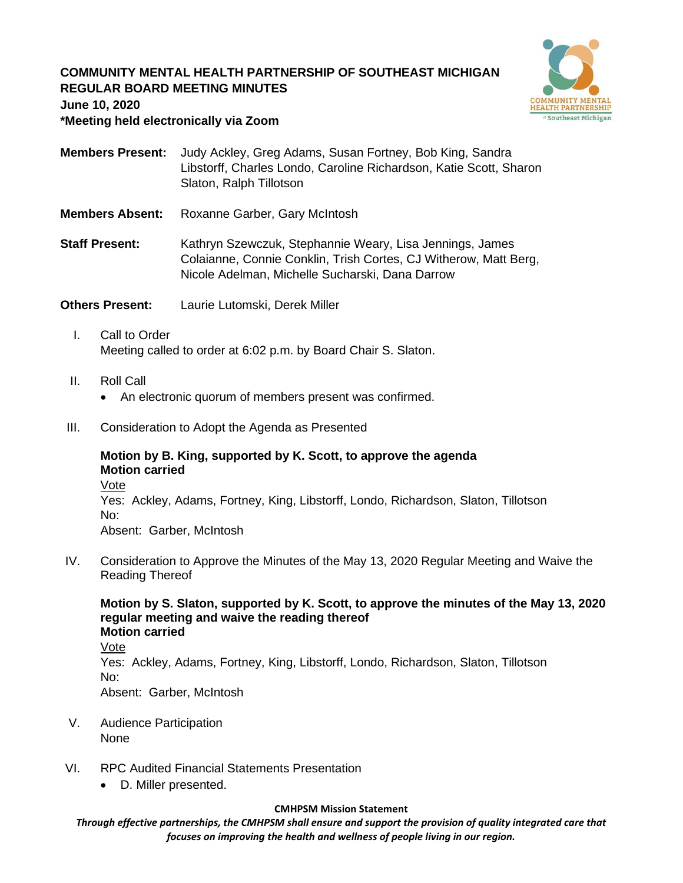# **COMMUNITY MENTAL HEALTH PARTNERSHIP OF SOUTHEAST MICHIGAN REGULAR BOARD MEETING MINUTES June 10, 2020**



**\*Meeting held electronically via Zoom**

**Members Present:** Judy Ackley, Greg Adams, Susan Fortney, Bob King, Sandra Libstorff, Charles Londo, Caroline Richardson, Katie Scott, Sharon Slaton, Ralph Tillotson

**Members Absent:** Roxanne Garber, Gary McIntosh

**Staff Present:** Kathryn Szewczuk, Stephannie Weary, Lisa Jennings, James Colaianne, Connie Conklin, Trish Cortes, CJ Witherow, Matt Berg, Nicole Adelman, Michelle Sucharski, Dana Darrow

**Others Present:** Laurie Lutomski, Derek Miller

- I. Call to Order Meeting called to order at 6:02 p.m. by Board Chair S. Slaton.
- II. Roll Call
	- An electronic quorum of members present was confirmed.
- III. Consideration to Adopt the Agenda as Presented

#### **Motion by B. King, supported by K. Scott, to approve the agenda Motion carried** Vote

Yes: Ackley, Adams, Fortney, King, Libstorff, Londo, Richardson, Slaton, Tillotson No: Absent: Garber, McIntosh

IV. Consideration to Approve the Minutes of the May 13, 2020 Regular Meeting and Waive the Reading Thereof

**Motion by S. Slaton, supported by K. Scott, to approve the minutes of the May 13, 2020 regular meeting and waive the reading thereof Motion carried** Vote Yes: Ackley, Adams, Fortney, King, Libstorff, Londo, Richardson, Slaton, Tillotson No: Absent: Garber, McIntosh

- V. Audience Participation None
- VI. RPC Audited Financial Statements Presentation
	- D. Miller presented.

#### **CMHPSM Mission Statement**

*Through effective partnerships, the CMHPSM shall ensure and support the provision of quality integrated care that focuses on improving the health and wellness of people living in our region.*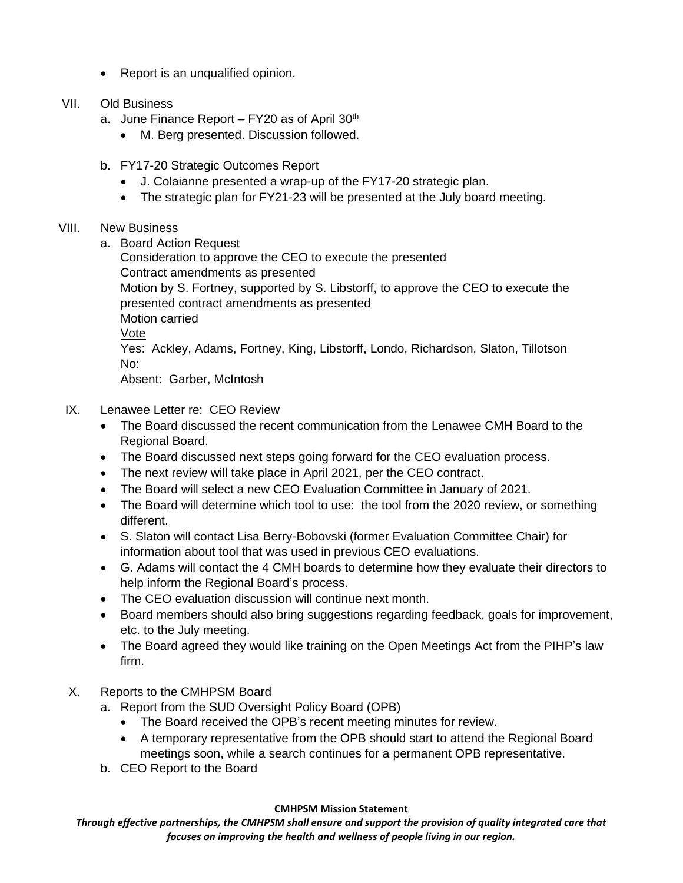- Report is an unqualified opinion.
- VII. Old Business
	- a. June Finance Report FY20 as of April  $30<sup>th</sup>$ 
		- M. Berg presented. Discussion followed.
	- b. FY17-20 Strategic Outcomes Report
		- J. Colaianne presented a wrap-up of the FY17-20 strategic plan.
		- The strategic plan for FY21-23 will be presented at the July board meeting.

## VIII. New Business

a. Board Action Request

Consideration to approve the CEO to execute the presented Contract amendments as presented Motion by S. Fortney, supported by S. Libstorff, to approve the CEO to execute the presented contract amendments as presented Motion carried Vote Yes: Ackley, Adams, Fortney, King, Libstorff, Londo, Richardson, Slaton, Tillotson No: Absent: Garber, McIntosh

- IX. Lenawee Letter re: CEO Review
	- The Board discussed the recent communication from the Lenawee CMH Board to the Regional Board.
	- The Board discussed next steps going forward for the CEO evaluation process.
	- The next review will take place in April 2021, per the CEO contract.
	- The Board will select a new CEO Evaluation Committee in January of 2021.
	- The Board will determine which tool to use: the tool from the 2020 review, or something different.
	- S. Slaton will contact Lisa Berry-Bobovski (former Evaluation Committee Chair) for information about tool that was used in previous CEO evaluations.
	- G. Adams will contact the 4 CMH boards to determine how they evaluate their directors to help inform the Regional Board's process.
	- The CEO evaluation discussion will continue next month.
	- Board members should also bring suggestions regarding feedback, goals for improvement, etc. to the July meeting.
	- The Board agreed they would like training on the Open Meetings Act from the PIHP's law firm.
- X. Reports to the CMHPSM Board
	- a. Report from the SUD Oversight Policy Board (OPB)
		- The Board received the OPB's recent meeting minutes for review.
		- A temporary representative from the OPB should start to attend the Regional Board meetings soon, while a search continues for a permanent OPB representative.
	- b. CEO Report to the Board

### **CMHPSM Mission Statement**

*Through effective partnerships, the CMHPSM shall ensure and support the provision of quality integrated care that focuses on improving the health and wellness of people living in our region.*